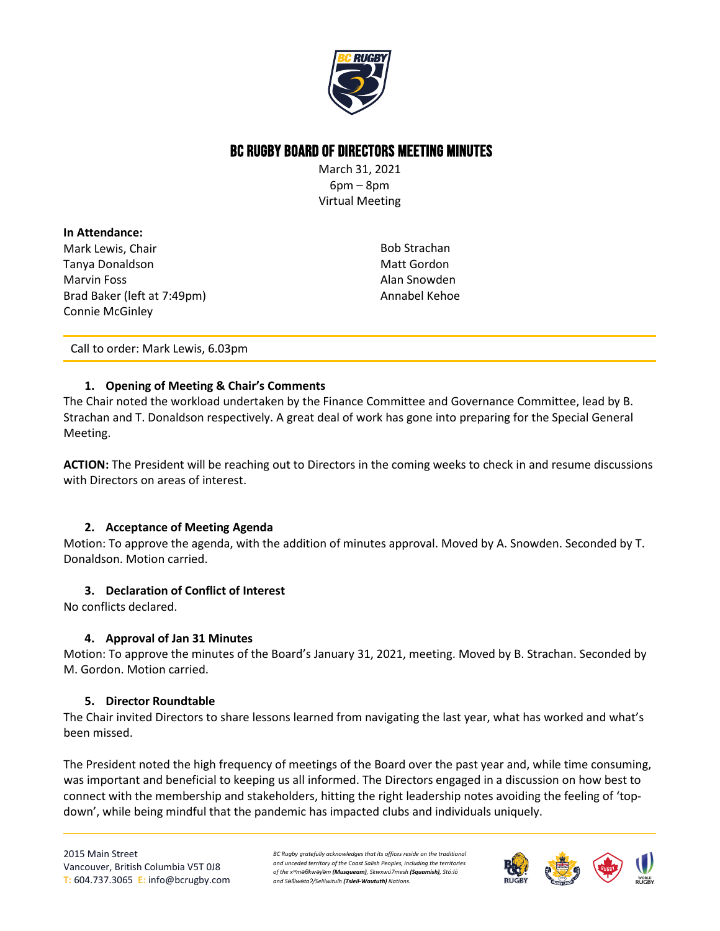

# BC Rugby Board of Directors Meeting Minutes

March 31, 2021 6pm – 8pm Virtual Meeting

## **In Attendance:** Mark Lewis, Chair Tanya Donaldson Marvin Foss Brad Baker (left at 7:49pm) Connie McGinley

Bob Strachan Matt Gordon Alan Snowden Annabel Kehoe

Call to order: Mark Lewis, 6.03pm

## **1. Opening of Meeting & Chair's Comments**

The Chair noted the workload undertaken by the Finance Committee and Governance Committee, lead by B. Strachan and T. Donaldson respectively. A great deal of work has gone into preparing for the Special General Meeting.

**ACTION:** The President will be reaching out to Directors in the coming weeks to check in and resume discussions with Directors on areas of interest.

## **2. Acceptance of Meeting Agenda**

Motion: To approve the agenda, with the addition of minutes approval. Moved by A. Snowden. Seconded by T. Donaldson. Motion carried.

## **3. Declaration of Conflict of Interest**

No conflicts declared.

## **4. Approval of Jan 31 Minutes**

Motion: To approve the minutes of the Board's January 31, 2021, meeting. Moved by B. Strachan. Seconded by M. Gordon. Motion carried.

## **5. Director Roundtable**

The Chair invited Directors to share lessons learned from navigating the last year, what has worked and what's been missed.

The President noted the high frequency of meetings of the Board over the past year and, while time consuming, was important and beneficial to keeping us all informed. The Directors engaged in a discussion on how best to connect with the membership and stakeholders, hitting the right leadership notes avoiding the feeling of 'topdown', while being mindful that the pandemic has impacted clubs and individuals uniquely.

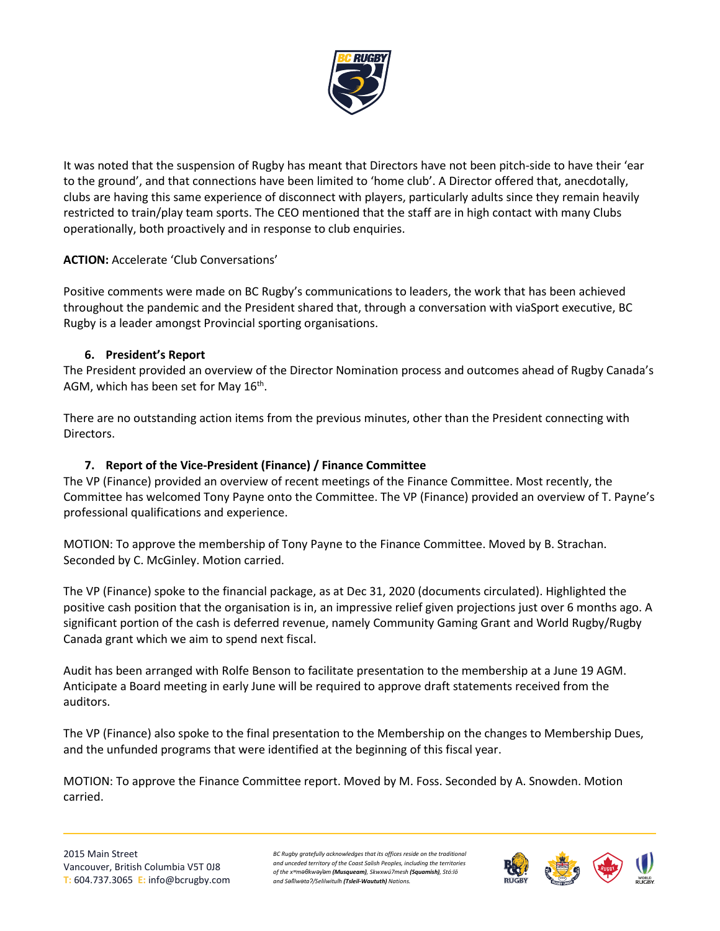

It was noted that the suspension of Rugby has meant that Directors have not been pitch-side to have their 'ear to the ground', and that connections have been limited to 'home club'. A Director offered that, anecdotally, clubs are having this same experience of disconnect with players, particularly adults since they remain heavily restricted to train/play team sports. The CEO mentioned that the staff are in high contact with many Clubs operationally, both proactively and in response to club enquiries.

## **ACTION:** Accelerate 'Club Conversations'

Positive comments were made on BC Rugby's communications to leaders, the work that has been achieved throughout the pandemic and the President shared that, through a conversation with viaSport executive, BC Rugby is a leader amongst Provincial sporting organisations.

#### **6. President's Report**

The President provided an overview of the Director Nomination process and outcomes ahead of Rugby Canada's AGM, which has been set for May  $16<sup>th</sup>$ .

There are no outstanding action items from the previous minutes, other than the President connecting with Directors.

## **7. Report of the Vice-President (Finance) / Finance Committee**

The VP (Finance) provided an overview of recent meetings of the Finance Committee. Most recently, the Committee has welcomed Tony Payne onto the Committee. The VP (Finance) provided an overview of T. Payne's professional qualifications and experience.

MOTION: To approve the membership of Tony Payne to the Finance Committee. Moved by B. Strachan. Seconded by C. McGinley. Motion carried.

The VP (Finance) spoke to the financial package, as at Dec 31, 2020 (documents circulated). Highlighted the positive cash position that the organisation is in, an impressive relief given projections just over 6 months ago. A significant portion of the cash is deferred revenue, namely Community Gaming Grant and World Rugby/Rugby Canada grant which we aim to spend next fiscal.

Audit has been arranged with Rolfe Benson to facilitate presentation to the membership at a June 19 AGM. Anticipate a Board meeting in early June will be required to approve draft statements received from the auditors.

The VP (Finance) also spoke to the final presentation to the Membership on the changes to Membership Dues, and the unfunded programs that were identified at the beginning of this fiscal year.

MOTION: To approve the Finance Committee report. Moved by M. Foss. Seconded by A. Snowden. Motion carried.

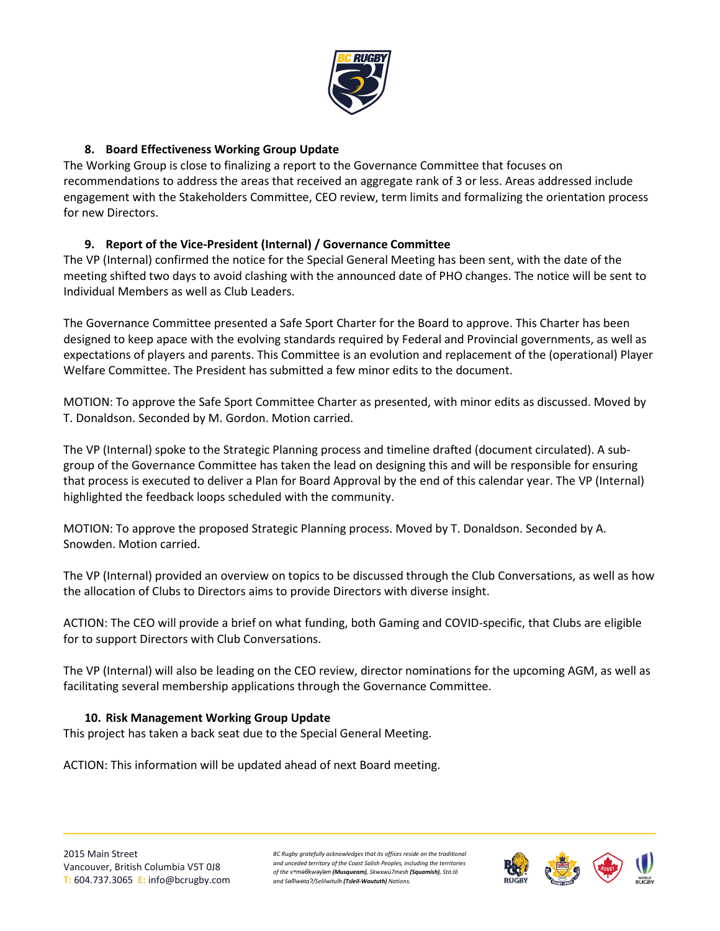

## **8. Board Effectiveness Working Group Update**

The Working Group is close to finalizing a report to the Governance Committee that focuses on recommendations to address the areas that received an aggregate rank of 3 or less. Areas addressed include engagement with the Stakeholders Committee, CEO review, term limits and formalizing the orientation process for new Directors.

## **9. Report of the Vice-President (Internal) / Governance Committee**

The VP (Internal) confirmed the notice for the Special General Meeting has been sent, with the date of the meeting shifted two days to avoid clashing with the announced date of PHO changes. The notice will be sent to Individual Members as well as Club Leaders.

The Governance Committee presented a Safe Sport Charter for the Board to approve. This Charter has been designed to keep apace with the evolving standards required by Federal and Provincial governments, as well as expectations of players and parents. This Committee is an evolution and replacement of the (operational) Player Welfare Committee. The President has submitted a few minor edits to the document.

MOTION: To approve the Safe Sport Committee Charter as presented, with minor edits as discussed. Moved by T. Donaldson. Seconded by M. Gordon. Motion carried.

The VP (Internal) spoke to the Strategic Planning process and timeline drafted (document circulated). A subgroup of the Governance Committee has taken the lead on designing this and will be responsible for ensuring that process is executed to deliver a Plan for Board Approval by the end of this calendar year. The VP (Internal) highlighted the feedback loops scheduled with the community.

MOTION: To approve the proposed Strategic Planning process. Moved by T. Donaldson. Seconded by A. Snowden. Motion carried.

The VP (Internal) provided an overview on topics to be discussed through the Club Conversations, as well as how the allocation of Clubs to Directors aims to provide Directors with diverse insight.

ACTION: The CEO will provide a brief on what funding, both Gaming and COVID-specific, that Clubs are eligible for to support Directors with Club Conversations.

The VP (Internal) will also be leading on the CEO review, director nominations for the upcoming AGM, as well as facilitating several membership applications through the Governance Committee.

## **10. Risk Management Working Group Update**

This project has taken a back seat due to the Special General Meeting.

ACTION: This information will be updated ahead of next Board meeting.

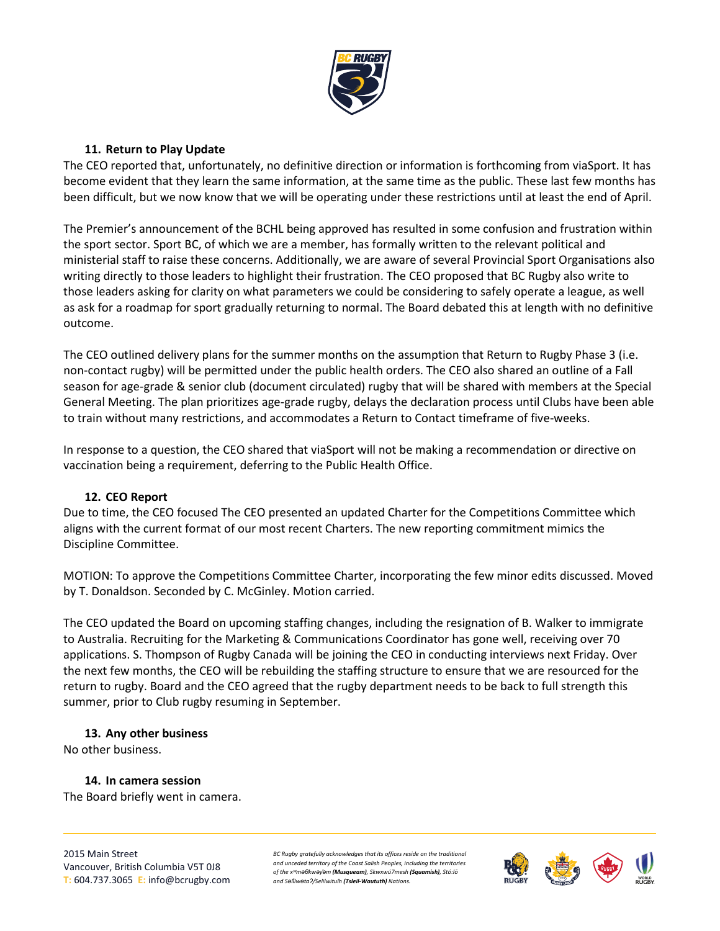

#### **11. Return to Play Update**

The CEO reported that, unfortunately, no definitive direction or information is forthcoming from viaSport. It has become evident that they learn the same information, at the same time as the public. These last few months has been difficult, but we now know that we will be operating under these restrictions until at least the end of April.

The Premier's announcement of the BCHL being approved has resulted in some confusion and frustration within the sport sector. Sport BC, of which we are a member, has formally written to the relevant political and ministerial staff to raise these concerns. Additionally, we are aware of several Provincial Sport Organisations also writing directly to those leaders to highlight their frustration. The CEO proposed that BC Rugby also write to those leaders asking for clarity on what parameters we could be considering to safely operate a league, as well as ask for a roadmap for sport gradually returning to normal. The Board debated this at length with no definitive outcome.

The CEO outlined delivery plans for the summer months on the assumption that Return to Rugby Phase 3 (i.e. non-contact rugby) will be permitted under the public health orders. The CEO also shared an outline of a Fall season for age-grade & senior club (document circulated) rugby that will be shared with members at the Special General Meeting. The plan prioritizes age-grade rugby, delays the declaration process until Clubs have been able to train without many restrictions, and accommodates a Return to Contact timeframe of five-weeks.

In response to a question, the CEO shared that viaSport will not be making a recommendation or directive on vaccination being a requirement, deferring to the Public Health Office.

#### **12. CEO Report**

Due to time, the CEO focused The CEO presented an updated Charter for the Competitions Committee which aligns with the current format of our most recent Charters. The new reporting commitment mimics the Discipline Committee.

MOTION: To approve the Competitions Committee Charter, incorporating the few minor edits discussed. Moved by T. Donaldson. Seconded by C. McGinley. Motion carried.

The CEO updated the Board on upcoming staffing changes, including the resignation of B. Walker to immigrate to Australia. Recruiting for the Marketing & Communications Coordinator has gone well, receiving over 70 applications. S. Thompson of Rugby Canada will be joining the CEO in conducting interviews next Friday. Over the next few months, the CEO will be rebuilding the staffing structure to ensure that we are resourced for the return to rugby. Board and the CEO agreed that the rugby department needs to be back to full strength this summer, prior to Club rugby resuming in September.

#### **13. Any other business**

No other business.

**14. In camera session** The Board briefly went in camera.